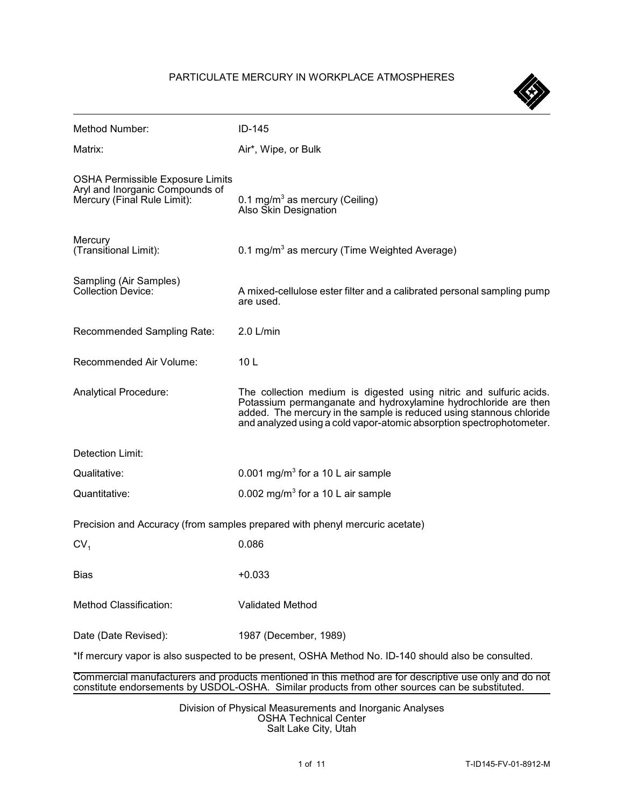## PARTICULATE MERCURY IN WORKPLACE ATMOSPHERES

| Method Number:                                                                                                                                                                                           | ID-145                                                                                                                                                                                                                                                                               |  |
|----------------------------------------------------------------------------------------------------------------------------------------------------------------------------------------------------------|--------------------------------------------------------------------------------------------------------------------------------------------------------------------------------------------------------------------------------------------------------------------------------------|--|
| Matrix:                                                                                                                                                                                                  | Air*, Wipe, or Bulk                                                                                                                                                                                                                                                                  |  |
| <b>OSHA Permissible Exposure Limits</b><br>Aryl and Inorganic Compounds of<br>Mercury (Final Rule Limit):                                                                                                | 0.1 mg/m <sup>3</sup> as mercury (Ceiling)<br>Also Skin Designation                                                                                                                                                                                                                  |  |
| Mercury<br>(Transitional Limit):                                                                                                                                                                         | 0.1 mg/m <sup>3</sup> as mercury (Time Weighted Average)                                                                                                                                                                                                                             |  |
| Sampling (Air Samples)<br><b>Collection Device:</b>                                                                                                                                                      | A mixed-cellulose ester filter and a calibrated personal sampling pump<br>are used.                                                                                                                                                                                                  |  |
| Recommended Sampling Rate:                                                                                                                                                                               | $2.0$ L/min                                                                                                                                                                                                                                                                          |  |
| Recommended Air Volume:                                                                                                                                                                                  | 10 <sub>L</sub>                                                                                                                                                                                                                                                                      |  |
| <b>Analytical Procedure:</b>                                                                                                                                                                             | The collection medium is digested using nitric and sulfuric acids.<br>Potassium permanganate and hydroxylamine hydrochloride are then<br>added. The mercury in the sample is reduced using stannous chloride<br>and analyzed using a cold vapor-atomic absorption spectrophotometer. |  |
| Detection Limit:                                                                                                                                                                                         |                                                                                                                                                                                                                                                                                      |  |
| Qualitative:                                                                                                                                                                                             | 0.001 mg/m <sup>3</sup> for a 10 L air sample                                                                                                                                                                                                                                        |  |
| Quantitative:                                                                                                                                                                                            | 0.002 mg/m <sup>3</sup> for a 10 L air sample                                                                                                                                                                                                                                        |  |
|                                                                                                                                                                                                          | Precision and Accuracy (from samples prepared with phenyl mercuric acetate)                                                                                                                                                                                                          |  |
| CV <sub>1</sub>                                                                                                                                                                                          | 0.086                                                                                                                                                                                                                                                                                |  |
| <b>Bias</b>                                                                                                                                                                                              | $+0.033$                                                                                                                                                                                                                                                                             |  |
| Method Classification:                                                                                                                                                                                   | <b>Validated Method</b>                                                                                                                                                                                                                                                              |  |
| Date (Date Revised):                                                                                                                                                                                     | 1987 (December, 1989)                                                                                                                                                                                                                                                                |  |
| *If mercury vapor is also suspected to be present, OSHA Method No. ID-140 should also be consulted.                                                                                                      |                                                                                                                                                                                                                                                                                      |  |
| Commercial manufacturers and products mentioned in this method are for descriptive use only and do not<br>constitute endorsements by USDOL-OSHA. Similar products from other sources can be substituted. |                                                                                                                                                                                                                                                                                      |  |

Division of Physical Measurements and Inorganic Analyses OSHA Technical Center Salt Lake City, Utah

 $\left\langle \leftarrow \right\rangle$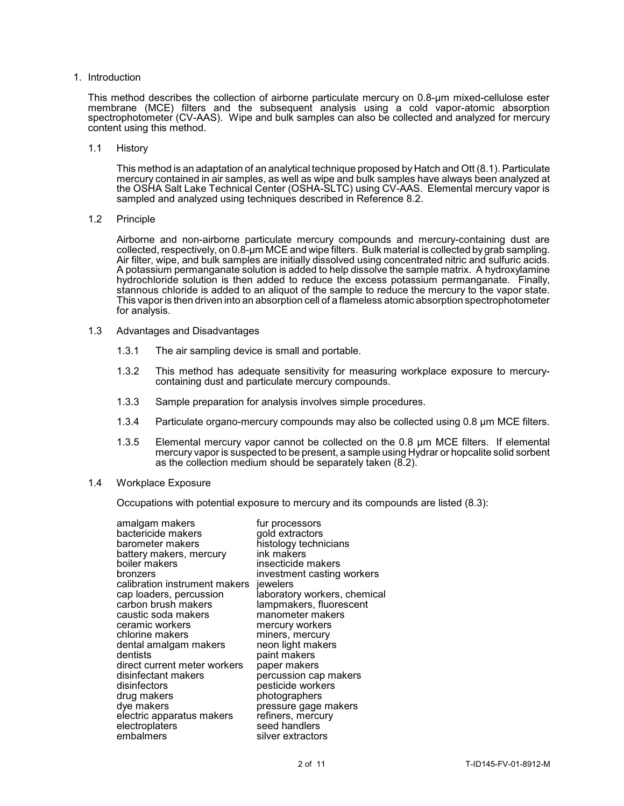1. Introduction

 This method describes the collection of airborne particulate mercury on 0.8-µm mixed-cellulose ester membrane (MCE) filters and the subsequent analysis using a cold vapor-atomic absorption spectrophotometer (CV-AAS). Wipe and bulk samples can also be collected and analyzed for mercury content using this method.

1.1 History

 This method is an adaptation of an analytical technique proposed by Hatch and Ott (8.1). Particulate the OSHA Salt Lake Technical Center (OSHA-SLTC) using CV-AAS. Elemental mercury vapor is mercury contained in air samples, as well as wipe and bulk samples have always been analyzed at sampled and analyzed using techniques described in Reference 8.2.

1.2 Principle

 collected, respectively, on 0.8-µm MCE and wipe filters. Bulk material is collected bygrab sampling. Air filter, wipe, and bulk samples are initially dissolved using concentrated nitric and sulfuric acids. hydrochloride solution is then added to reduce the excess potassium permanganate. Finally, stannous chloride is added to an aliquot of the sample to reduce the mercury to the vapor state. This vapor is then driven into an absorption cell of a flameless atomic absorption spectrophotometer Airborne and non-airborne particulate mercury compounds and mercury-containing dust are A potassium permanganate solution is added to help dissolve the sample matrix. A hydroxylamine for analysis.

- 1.3 Advantages and Disadvantages
	- 1.3.1 The air sampling device is small and portable.
	- 1.3.2 This method has adequate sensitivity for measuring workplace exposure to mercurycontaining dust and particulate mercury compounds.
	- 1.3.3 Sample preparation for analysis involves simple procedures.
	- 1.3.4 Particulate organo-mercury compounds may also be collected using 0.8 µm MCE filters.
	- 1.3.5 Elemental mercury vapor cannot be collected on the 0.8 µm MCE filters. If elemental mercury vapor is suspected to be present, a sample using Hydrar or hopcalite solid sorbent as the collection medium should be separately taken (8.2).
- 1.4 Workplace Exposure

Occupations with potential exposure to mercury and its compounds are listed (8.3):

| amalgam makers                | fur processors               |
|-------------------------------|------------------------------|
| bactericide makers            | gold extractors              |
| barometer makers              | histology technicians        |
| battery makers, mercury       | ink makers                   |
| boiler makers                 | insecticide makers           |
| bronzers                      | investment casting workers   |
| calibration instrument makers | iewelers                     |
| cap loaders, percussion       | laboratory workers, chemical |
| carbon brush makers           | lampmakers, fluorescent      |
| caustic soda makers           | manometer makers             |
| ceramic workers               | mercury workers              |
| chlorine makers               | miners, mercury              |
| dental amalgam makers         | neon light makers            |
| dentists                      | paint makers                 |
| direct current meter workers  | paper makers                 |
| disinfectant makers           | percussion cap makers        |
| disinfectors                  | pesticide workers            |
| drug makers                   | photographers                |
| dye makers                    | pressure gage makers         |
| electric apparatus makers     | refiners, mercury            |
| electroplaters                | seed handlers                |
| embalmers                     | silver extractors            |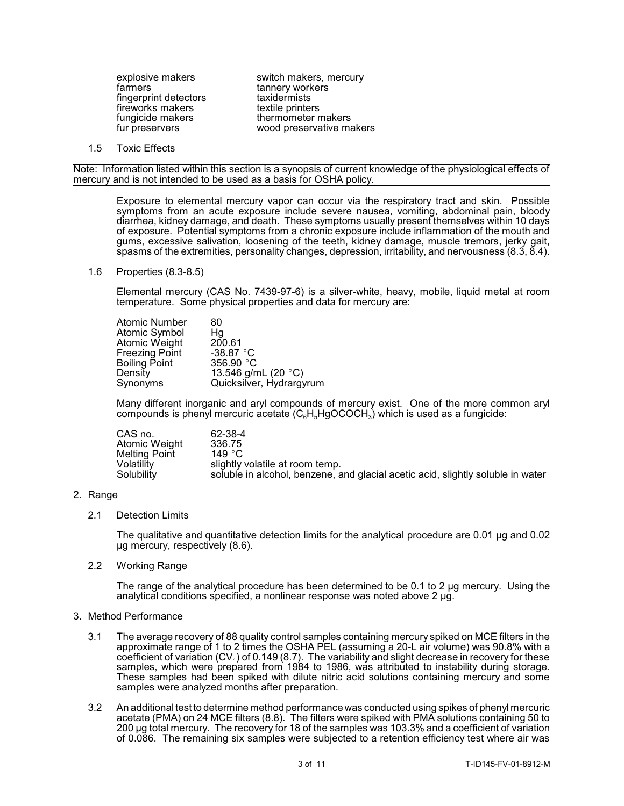farmers tannery workers<br>fingerprint detectors taxidermists fingerprint detectors taxidermists<br>fireworks makers textile printers fireworks makers<br>fungicide makers

explosive makers switch makers, mercury fungicide makers thermometer makers<br>fur preservers wood preservative may wood preservative makers

1.5 Toxic Effects

 Note: Information listed within this section is a synopsis of current knowledge of the physiological effects of mercury and is not intended to be used as a basis for OSHA policy.

 Exposure to elemental mercury vapor can occur via the respiratory tract and skin. Possible diarrhea, kidney damage, and death. These symptoms usually present themselves within 10 days symptoms from an acute exposure include severe nausea, vomiting, abdominal pain, bloody of exposure. Potential symptoms from a chronic exposure include inflammation of the mouth and gums, excessive salivation, loosening of the teeth, kidney damage, muscle tremors, jerky gait, spasms of the extremities, personality changes, depression, irritability, and nervousness (8.3, 8.4).

1.6 Properties (8.3-8.5)

 Elemental mercury (CAS No. 7439-97-6) is a silver-white, heavy, mobile, liquid metal at room temperature. Some physical properties and data for mercury are:

| Atomic Number         | 80                       |
|-----------------------|--------------------------|
| Atomic Symbol         | Нg                       |
| Atomic Weight         | 200.61                   |
| <b>Freezing Point</b> | -38.87 $\degree$ C       |
| <b>Boiling Point</b>  | 356.90 $^{\circ}$ C      |
| Density               | 13.546 g/mL (20 °C)      |
| Synonyms              | Quicksilver, Hydrargyrum |

 Many different inorganic and aryl compounds of mercury exist. One of the more common aryl compounds is phenyl mercuric acetate  $(C_6H_5H_9OCOCH_3)$  which is used as a fungicide:

| CAS no.       | 62-38-4                                                                         |
|---------------|---------------------------------------------------------------------------------|
| Atomic Weight | 336.75                                                                          |
| Melting Point | 149 $^{\circ}$ C                                                                |
| Volatilitv    | slightly volatile at room temp.                                                 |
| Solubility    | soluble in alcohol, benzene, and glacial acetic acid, slightly soluble in water |

## 2. Range

2.1 Detection Limits

The qualitative and quantitative detection limits for the analytical procedure are 0.01 µg and 0.02 µg mercury, respectively (8.6).

2.2 Working Range

The range of the analytical procedure has been determined to be 0.1 to 2 ug mercury. Using the analytical conditions specified, a nonlinear response was noted above 2 µg.

## 3. Method Performance

- 3.1 The average recovery of 88 quality control samples containing mercury spiked on MCE filters in the coefficient of variation  $(CV_1)$  of 0.149 (8.7). The variability and slight decrease in recovery for these These samples had been spiked with dilute nitric acid solutions containing mercury and some approximate range of 1 to 2 times the OSHA PEL (assuming a 20-L air volume) was 90.8% with a samples, which were prepared from 1984 to 1986, was attributed to instability during storage. samples were analyzed months after preparation.
- 3.2 An additional test to determine method performance was conducted using spikes of phenyl mercuric 200 µg total mercury. The recovery for 18 of the samples was 103.3% and a coefficient of variation of 0.086. The remaining six samples were subjected to a retention efficiency test where air was acetate (PMA) on 24 MCE filters (8.8). The filters were spiked with PMA solutions containing 50 to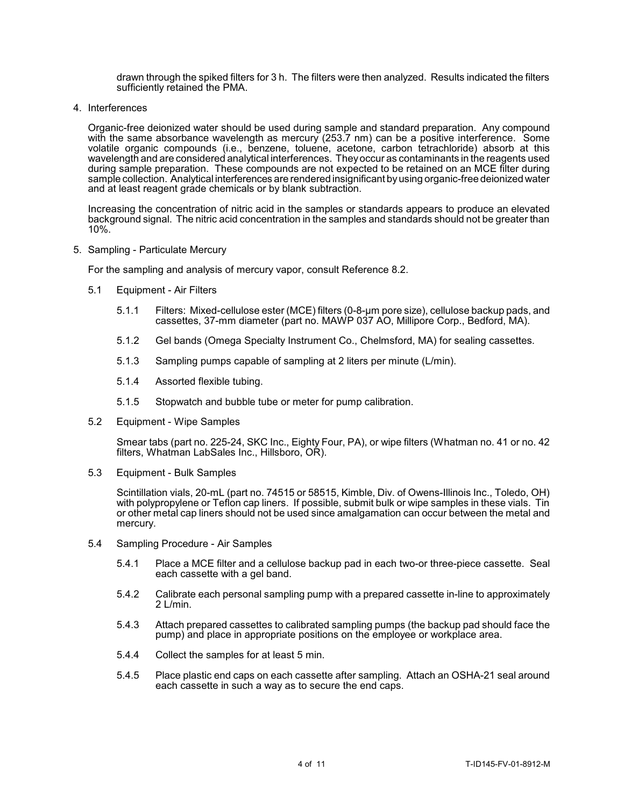drawn through the spiked filters for 3 h. The filters were then analyzed. Results indicated the filters sufficiently retained the PMA.

4. Interferences

 Organic-free deionized water should be used during sample and standard preparation. Any compound with the same absorbance wavelength as mercury (253.7 nm) can be a positive interference. Some j during sample preparation. These compounds are not expected to be retained on an MCE filter during volatile organic compounds (i.e., benzene, toluene, acetone, carbon tetrachloride) absorb at this wavelength and are considered analytical interferences. Theyoccur as contaminants in the reagents used sample collection. Analytical interferences are rendered insignificant by using organic-free deionized water and at least reagent grade chemicals or by blank subtraction.

 Increasing the concentration of nitric acid in the samples or standards appears to produce an elevated background signal. The nitric acid concentration in the samples and standards should not be greater than 10%.

5. Sampling - Particulate Mercury

For the sampling and analysis of mercury vapor, consult Reference 8.2.

- 5.1 Equipment Air Filters
	- 5.1.1 Filters: Mixed-cellulose ester (MCE) filters (0-8-µm pore size), cellulose backup pads, and cassettes, 37-mm diameter (part no. MAWP 037 AO, Millipore Corp., Bedford, MA).
	- 5.1.2 Gel bands (Omega Specialty Instrument Co., Chelmsford, MA) for sealing cassettes.
	- 5.1.3 Sampling pumps capable of sampling at 2 liters per minute (L/min).
	- 5.1.4 Assorted flexible tubing.
	- 5.1.5 Stopwatch and bubble tube or meter for pump calibration.
- 5.2 Equipment Wipe Samples

Smear tabs (part no. 225-24, SKC Inc., Eighty Four, PA), or wipe filters (Whatman no. 41 or no. 42 filters, Whatman LabSales Inc., Hillsboro, OR).

5.3 Equipment - Bulk Samples

 with polypropylene or Teflon cap liners. If possible, submit bulk or wipe samples in these vials. Tin or other metal cap liners should not be used since amalgamation can occur between the metal and Scintillation vials, 20-mL (part no. 74515 or 58515, Kimble, Div. of Owens-Illinois Inc., Toledo, OH) mercury.

- 5.4 Sampling Procedure Air Samples
	- 5.4.1 Place a MCE filter and a cellulose backup pad in each two-or three-piece cassette. Seal each cassette with a gel band.
	- 5.4.2 Calibrate each personal sampling pump with a prepared cassette in-line to approximately 2 L/min.
	- 5.4.3 Attach prepared cassettes to calibrated sampling pumps (the backup pad should face the pump) and place in appropriate positions on the employee or workplace area.
	- 5.4.4 Collect the samples for at least 5 min.
	- 5.4.5 Place plastic end caps on each cassette after sampling. Attach an OSHA-21 seal around each cassette in such a way as to secure the end caps.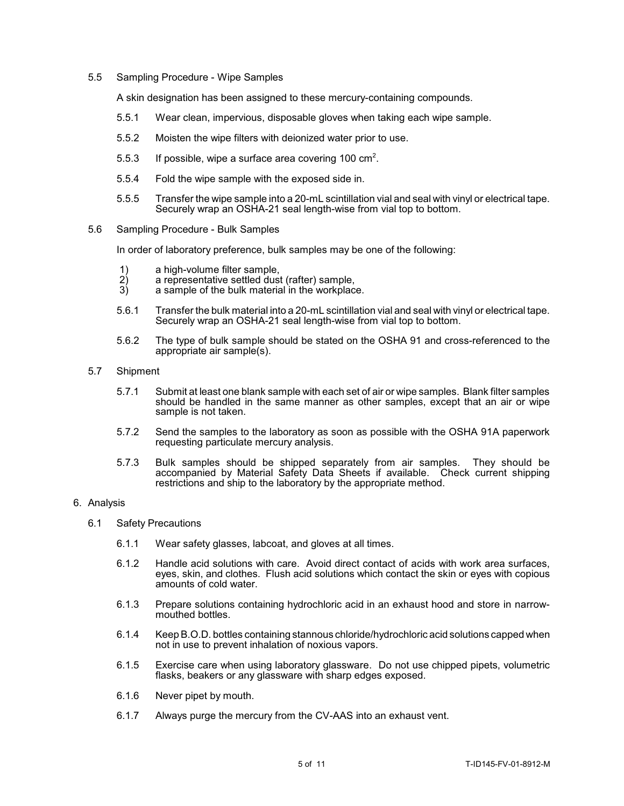5.5 Sampling Procedure - Wipe Samples

A skin designation has been assigned to these mercury-containing compounds.

- 5.5.1 Wear clean, impervious, disposable gloves when taking each wipe sample.
- 5.5.2 Moisten the wipe filters with deionized water prior to use.
- 5.5.3 If possible, wipe a surface area covering 100  $\text{cm}^2$ .
- 5.5.4 Fold the wipe sample with the exposed side in.
- 5.5.5 Transfer the wipe sample into a 20-mL scintillation vial and seal with vinyl or electrical tape. Securely wrap an OSHA-21 seal length-wise from vial top to bottom.
- 5.6 Sampling Procedure Bulk Samples

In order of laboratory preference, bulk samples may be one of the following:

- 
- 1) a high-volume filter sample,<br>
2) a representative settled dus<br>
3) a sample of the bulk materia a representative settled dust (rafter) sample,
- a sample of the bulk material in the workplace.
- 5.6.1 Transfer the bulk material into a 20-mL scintillation vial and seal with vinyl or electrical tape. Securely wrap an OSHA-21 seal length-wise from vial top to bottom.
- 5.6.2 The type of bulk sample should be stated on the OSHA 91 and cross-referenced to the appropriate air sample(s).
- 5.7 Shipment
	- 5.7.1 Submit at least one blank sample with each set of air or wipe samples. Blank filter samples should be handled in the same manner as other samples, except that an air or wipe sample is not taken.
	- 5.7.2 Send the samples to the laboratory as soon as possible with the OSHA 91A paperwork requesting particulate mercury analysis.
	- 5.7.3 Bulk samples should be shipped separately from air samples. They should be accompanied by Material Safety Data Sheets if available. Check current shipping restrictions and ship to the laboratory by the appropriate method.

## 6. Analysis

- 6.1 Safety Precautions
	- 6.1.1 Wear safety glasses, labcoat, and gloves at all times.
	- 6.1.2 Handle acid solutions with care. Avoid direct contact of acids with work area surfaces, eyes, skin, and clothes. Flush acid solutions which contact the skin or eyes with copious amounts of cold water.
	- 6.1.3 Prepare solutions containing hydrochloric acid in an exhaust hood and store in narrowmouthed bottles.
	- 6.1.4 Keep B.O.D. bottles containing stannous chloride/hydrochloric acid solutions capped when not in use to prevent inhalation of noxious vapors.
	- 6.1.5 Exercise care when using laboratory glassware. Do not use chipped pipets, volumetric flasks, beakers or any glassware with sharp edges exposed.
	- 6.1.6 Never pipet by mouth.
	- 6.1.7 Always purge the mercury from the CV-AAS into an exhaust vent.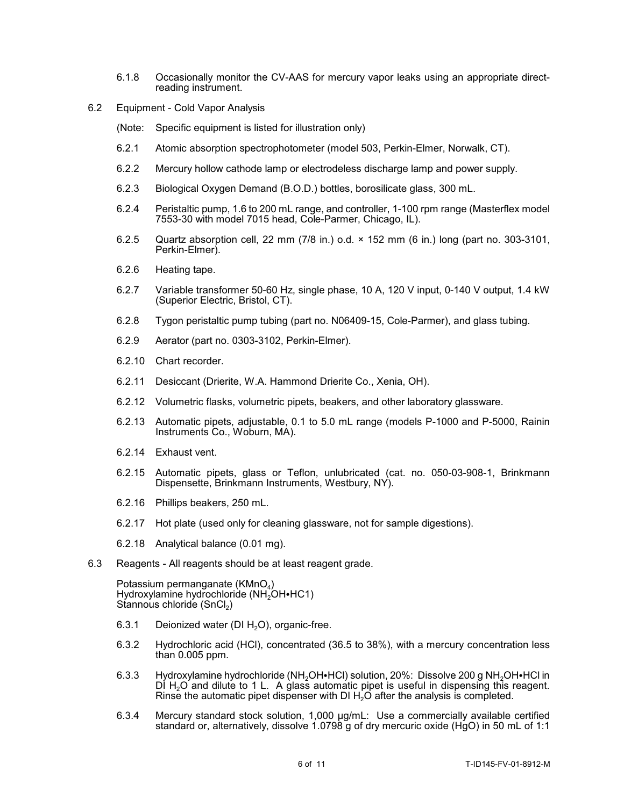- 6.1.8 Occasionally monitor the CV-AAS for mercury vapor leaks using an appropriate directreading instrument.
- 6.2 Equipment Cold Vapor Analysis
	- (Note: Specific equipment is listed for illustration only)
	- 6.2.1 Atomic absorption spectrophotometer (model 503, Perkin-Elmer, Norwalk, CT).
	- 6.2.2 Mercury hollow cathode lamp or electrodeless discharge lamp and power supply.
	- 6.2.3 Biological Oxygen Demand (B.O.D.) bottles, borosilicate glass, 300 mL.
	- 6.2.4 Peristaltic pump, 1.6 to 200 mL range, and controller, 1-100 rpm range (Masterflex model 7553-30 with model 7015 head, Cole-Parmer, Chicago, IL).
	- 6.2.5 Quartz absorption cell, 22 mm (7/8 in.) o.d. × 152 mm (6 in.) long (part no. 303-3101, Perkin-Elmer).
	- 6.2.6 Heating tape.
	- 6.2.7 Variable transformer 50-60 Hz, single phase, 10 A, 120 V input, 0-140 V output, 1.4 kW (Superior Electric, Bristol, CT).
	- 6.2.8 Tygon peristaltic pump tubing (part no. N06409-15, Cole-Parmer), and glass tubing.
	- 6.2.9 Aerator (part no. 0303-3102, Perkin-Elmer).
	- 6.2.10 Chart recorder.
	- 6.2.11 Desiccant (Drierite, W.A. Hammond Drierite Co., Xenia, OH).
	- 6.2.12 Volumetric flasks, volumetric pipets, beakers, and other laboratory glassware.
	- 6.2.13 Automatic pipets, adjustable, 0.1 to 5.0 mL range (models P-1000 and P-5000, Rainin Instruments Co., Woburn, MA).
	- 6.2.14 Exhaust vent.
	- 6.2.15 Automatic pipets, glass or Teflon, unlubricated (cat. no. 050-03-908-1, Brinkmann Dispensette, Brinkmann Instruments, Westbury, NY).
	- 6.2.16 Phillips beakers, 250 mL.
	- 6.2.17 Hot plate (used only for cleaning glassware, not for sample digestions).
	- 6.2.18 Analytical balance (0.01 mg).
- 6.3 Reagents All reagents should be at least reagent grade.

Potassium permanganate (KMnO<sub>4</sub>) Hydroxylamine hydrochloride (NH<sub>2</sub>OH•HC1) Stannous chloride (SnCl<sub>2</sub>)

- 6.3.1 Deionized water (DI  $H<sub>2</sub>O$ ), organic-free.
- 6.3.2 Hydrochloric acid (HCl), concentrated (36.5 to 38%), with a mercury concentration less than 0.005 ppm.
- $DI H<sub>2</sub>O$  and dilute to 1 L. A glass automatic pipet is useful in dispensing this reagent. 6.3.3 Hydroxylamine hydrochloride (NH<sub>2</sub>OH•HCl) solution, 20%: Dissolve 200 g NH<sub>2</sub>OH•HCl in Rinse the automatic pipet dispenser with DI  $H_2O$  after the analysis is completed.
- 6.3.4 Mercury standard stock solution, 1,000 µg/mL: Use a commercially available certified standard or, alternatively, dissolve 1.0798 g of dry mercuric oxide (HgO) in 50 mL of 1:1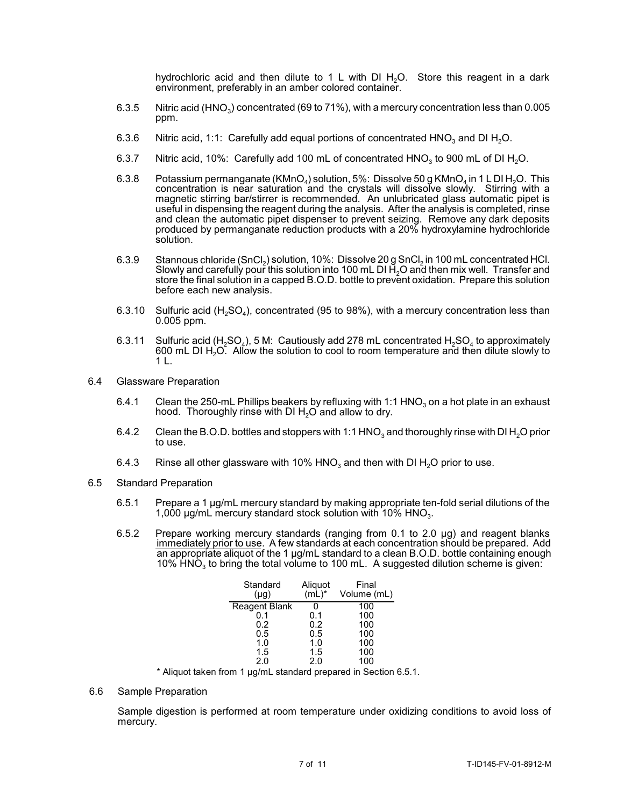hydrochloric acid and then dilute to 1 L with DI  $H_2O$ . Store this reagent in a dark environment, preferably in an amber colored container.

- 6.3.5 Nitric acid (HNO<sub>3</sub>) concentrated (69 to 71%), with a mercury concentration less than 0.005 ppm.
- 6.3.6 Nitric acid, 1:1: Carefully add equal portions of concentrated HNO<sub>3</sub> and DI H<sub>2</sub>O.
- 6.3.7 Nitric acid, 10%: Carefully add 100 mL of concentrated  $HNO<sub>3</sub>$  to 900 mL of DI H<sub>2</sub>O.
- 6.3.8 Potassium permanganate (KMnO<sub>4</sub>) solution, 5%: Dissolve 50 g KMnO<sub>4</sub> in 1 L DI H<sub>2</sub>O. This and clean the automatic pipet dispenser to prevent seizing. Remove any dark deposits concentration is near saturation and the crystals will dissolve slowly. Stirring with a magnetic stirring bar/stirrer is recommended. An unlubricated glass automatic pipet is useful in dispensing the reagent during the analysis. After the analysis is completed, rinse produced by permanganate reduction products with a 20% hydroxylamine hydrochloride solution.
- 6.3.9 Stannous chloride  $(SnCl<sub>2</sub>)$  solution, 10%: Dissolve 20 g SnCl<sub>2</sub> in 100 mL concentrated HCl. Slowly and carefully pour this solution into 100 mL DI  $H_2O$  and then mix well. Transfer and store the final solution in a capped B.O.D. bottle to prevent oxidation. Prepare this solution before each new analysis.
- 6.3.10 Sulfuric acid (H<sub>2</sub>SO<sub>4</sub>), concentrated (95 to 98%), with a mercury concentration less than 0.005 ppm.
- 6.3.11 Sulfuric acid (H<sub>2</sub>SO<sub>4</sub>), 5 M: Cautiously add 278 mL concentrated H<sub>2</sub>SO<sub>4</sub> to approximately 600 mL DI H2O. Allow the solution to cool to room temperature and then dilute slowly to 1 L.
- 6.4 Glassware Preparation
	- 6.4.1 Clean the 250-mL Phillips beakers by refluxing with 1:1 HNO<sub>3</sub> on a hot plate in an exhaust hood. Thoroughly rinse with DI  $H_2O$  and allow to dry.
	- 6.4.2 Clean the B.O.D. bottles and stoppers with 1:1 HNO<sub>3</sub> and thoroughly rinse with DI H<sub>2</sub>O prior to use.
	- 6.4.3 Rinse all other glassware with 10% HNO<sub>3</sub> and then with DI H<sub>2</sub>O prior to use.
- 6.5 Standard Preparation
	- 6.5.1 Prepare a 1 µg/mL mercury standard by making appropriate ten-fold serial dilutions of the 1,000  $\mu$ g/mL mercury standard stock solution with 10% HNO<sub>3</sub>.
	- 6.5.2 Prepare working mercury standards (ranging from 0.1 to 2.0 µg) and reagent blanks immediately prior to use. A few standards at each concentration should be prepared. Add an appropriate aliquot of the 1 µg/mL standard to a clean B.O.D. bottle containing enough  $10\%$  HNO<sub>3</sub> to bring the total volume to 100 mL. A suggested dilution scheme is given.

| Standard<br>$(\mu q)$ | Aliquot<br>$(mL)^*$ | Final<br>Volume (mL) |
|-----------------------|---------------------|----------------------|
| <b>Reagent Blank</b>  |                     | 100                  |
| 0.1                   | 0.1                 | 100                  |
| 0.2                   | 0.2                 | 100                  |
| 0.5                   | 0.5                 | 100                  |
| 1.0                   | 1.0                 | 100                  |
| 1.5                   | 1.5                 | 100                  |
| 2.0                   | 2.0                 | 100                  |
|                       |                     |                      |

\* Aliquot taken from 1 µg/mL standard prepared in Section 6.5.1.

6.6 Sample Preparation

Sample digestion is performed at room temperature under oxidizing conditions to avoid loss of mercury.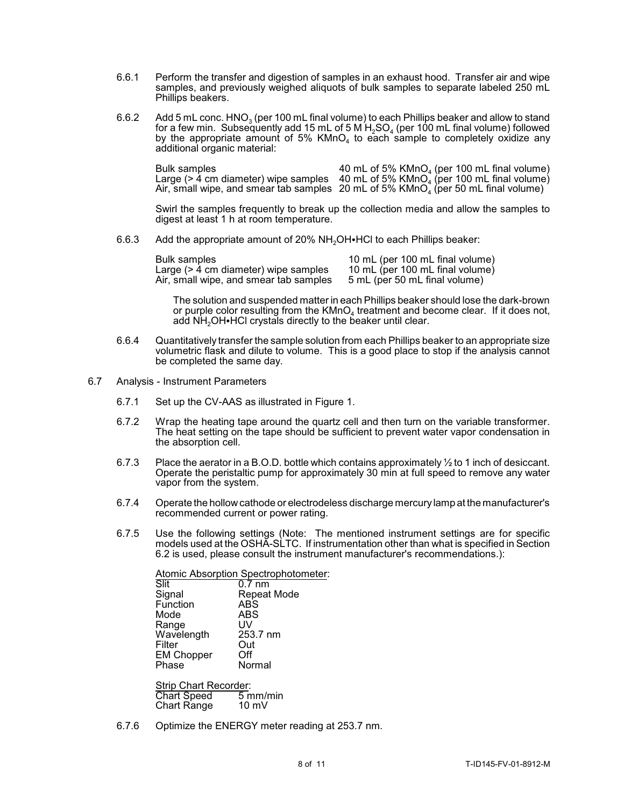- 6.6.1 Perform the transfer and digestion of samples in an exhaust hood. Transfer air and wipe samples, and previously weighed aliquots of bulk samples to separate labeled 250 mL Phillips beakers.
- 6.6.2 Add 5 mL conc.  $HNO<sub>3</sub>$  (per 100 mL final volume) to each Phillips beaker and allow to stand for a few min. Subsequently add 15 mL of 5 M  $H_2SO_4$  (per 100 mL final volume) followed by the appropriate amount of 5%  $K M nO<sub>4</sub>$  to each sample to completely oxidize any additional organic material:

| Bulk samples | 40 mL of 5% $KMnO4$ (per 100 mL final volume)                                       |
|--------------|-------------------------------------------------------------------------------------|
|              | Large (> 4 cm diameter) wipe samples 40 mL of 5% $KMnO4$ (per 100 mL final volume)  |
|              | Air, small wipe, and smear tab samples 20 mL of 5% $KMnO4$ (per 50 mL final volume) |

 Swirl the samples frequently to break up the collection media and allow the samples to digest at least 1 h at room temperature.

6.6.3 Add the appropriate amount of 20% NH<sub>2</sub>OH HCl to each Phillips beaker:

| <b>Bulk samples</b>                             | 10 mL (per 100 mL final volume) |
|-------------------------------------------------|---------------------------------|
| Large $($ > $\dot{4}$ cm diameter) wipe samples | 10 mL (per 100 mL final volume) |
| Air, small wipe, and smear tab samples          | 5 mL (per 50 mL final volume)   |

The solution and suspended matter in each Phillips beaker should lose the dark-brown or purple color resulting from the  $KMD<sub>4</sub>$  treatment and become clear. If it does not, add  $NH<sub>2</sub>OH<sup>+</sup>HCI$  crystals directly to the beaker until clear.

- volumetric flask and dilute to volume. This is a good place to stop if the analysis cannot 6.6.4 Quantitatively transfer the sample solution from each Phillips beaker to an appropriate size be completed the same day.
- 6.7 Analysis Instrument Parameters
	- 6.7.1 Set up the CV-AAS as illustrated in Figure 1.
	- 6.7.2 Wrap the heating tape around the quartz cell and then turn on the variable transformer. The heat setting on the tape should be sufficient to prevent water vapor condensation in the absorption cell.
	- 6.7.3 Place the aerator in a B.O.D. bottle which contains approximately ½ to 1 inch of desiccant. Operate the peristaltic pump for approximately 30 min at full speed to remove any water vapor from the system.
	- 6.7.4 Operate the hollowcathode or electrodeless discharge mercurylamp at the manufacturer's recommended current or power rating.
	- 6.7.5 Use the following settings (Note: The mentioned instrument settings are for specific models used at the OSHA-SLTC. If instrumentation other than what is specified in Section 6.2 is used, please consult the instrument manufacturer's recommendations.):

Atomic Absorption Spectrophotometer: Slit 0.7 nm Signal Repeat Mode<br>
Function ABS Function ABS<br>Mode ABS Mode ABS<br>Range UV Range UV<br>Wavelength 253.7 nm Wavelength 253.<br>Filter Out Filter Out<br>EM Chopper Off EM Chopper<br>Phase Normal

Strip Chart Recorder:<br>Chart Speed 5 mm/min Chart Speed 5 mm/i<br>Chart Range 10 mV Chart Range

6.7.6 Optimize the ENERGY meter reading at 253.7 nm.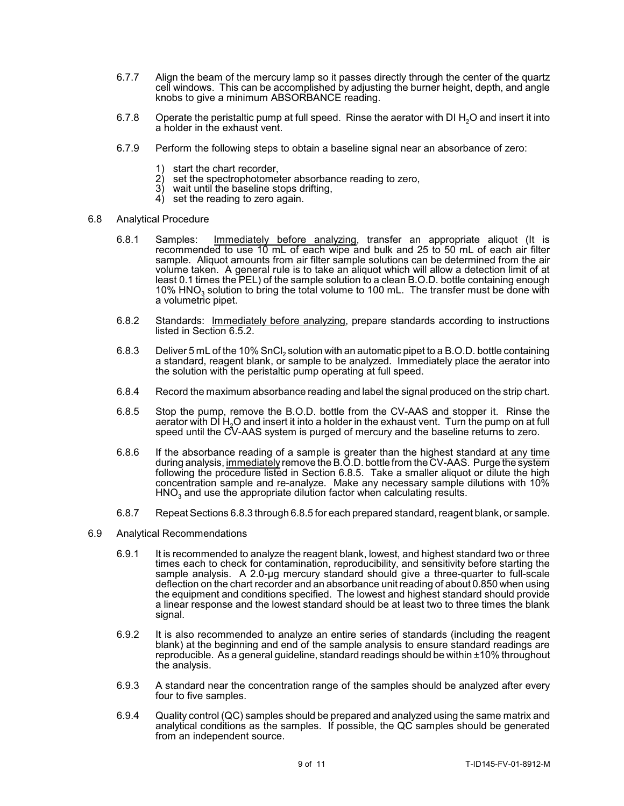- 6.7.7 Align the beam of the mercury lamp so it passes directly through the center of the quartz cell windows. This can be accomplished by adjusting the burner height, depth, and angle knobs to give a minimum ABSORBANCE reading.
- 6.7.8 Operate the peristaltic pump at full speed. Rinse the aerator with DI H<sub>2</sub>O and insert it into a holder in the exhaust vent.
- 6.7.9 Perform the following steps to obtain a baseline signal near an absorbance of zero:
	-
	- 1) start the chart recorder,<br>2) set the spectrophotome  $2)$  set the spectrophotometer absorbance reading to zero,  $3)$  wait until the baseline stops drifting.
	- $3)$  wait until the baseline stops drifting,<br> $4)$  set the reading to zero again
	- set the reading to zero again.
- 6.8 Analytical Procedure
	- recommended to use 10 mL of each wipe and bulk and 25 to 50 mL of each air filter volume taken. A general rule is to take an aliquot which will allow a detection limit of at least 0.1 times the PEL) of the sample solution to a clean B.O.D. bottle containing enough 6.8.1 Samples: Immediately before analyzing, transfer an appropriate aliquot (It is sample. Aliquot amounts from air filter sample solutions can be determined from the air 10% HNO<sub>3</sub> solution to bring the total volume to 100 mL. The transfer must be done with a volumetric pipet.
	- 6.8.2 Standards: Immediately before analyzing, prepare standards according to instructions listed in Section 6.5.2.
	- 6.8.3 Deliver 5 mL of the 10% SnCl<sub>2</sub> solution with an automatic pipet to a B.O.D. bottle containing a standard, reagent blank, or sample to be analyzed. Immediately place the aerator into the solution with the peristaltic pump operating at full speed.
	- 6.8.4 Record the maximum absorbance reading and label the signal produced on the strip chart.
	- 6.8.5 Stop the pump, remove the B.O.D. bottle from the CV-AAS and stopper it. Rinse the aerator with DI H<sub>2</sub>O and insert it into a holder in the exhaust vent. Turn the pump on at full speed until the CV-AAS system is purged of mercury and the baseline returns to zero.
	- 6.8.6 If the absorbance reading of a sample is greater than the highest standard at any time during analysis, <u>immediately</u> remove the B.O.D. bottle from the CV-AAS. Purge the system concentration sample and re-analyze. Make any necessary sample dilutions with 10% following the procedure listed in Section 6.8.5. Take a smaller aliquot or dilute the high  $HNO<sub>3</sub>$  and use the appropriate dilution factor when calculating results.
	- 6.8.7 Repeat Sections 6.8.3 through 6.8.5 for each prepared standard, reagent blank, or sample.
- 6.9 Analytical Recommendations
	- times each to check for contamination, reproducibility, and sensitivity before starting the sample analysis. A 2.0-µg mercury standard should give a three-quarter to full-scale the equipment and conditions specified. The lowest and highest standard should provide 6.9.1 It is recommended to analyze the reagent blank, lowest, and highest standard two or three deflection on the chart recorder and an absorbance unit reading of about 0.850 when using a linear response and the lowest standard should be at least two to three times the blank signal.
	- 6.9.2 It is also recommended to analyze an entire series of standards (including the reagent blank) at the beginning and end of the sample analysis to ensure standard readings are reproducible. As a general guideline, standard readings should be within ±10% throughout the analysis.
	- 6.9.3 A standard near the concentration range of the samples should be analyzed after every four to five samples.
	- 6.9.4 Quality control (QC) samples should be prepared and analyzed using the same matrix and analytical conditions as the samples. If possible, the QC samples should be generated from an independent source.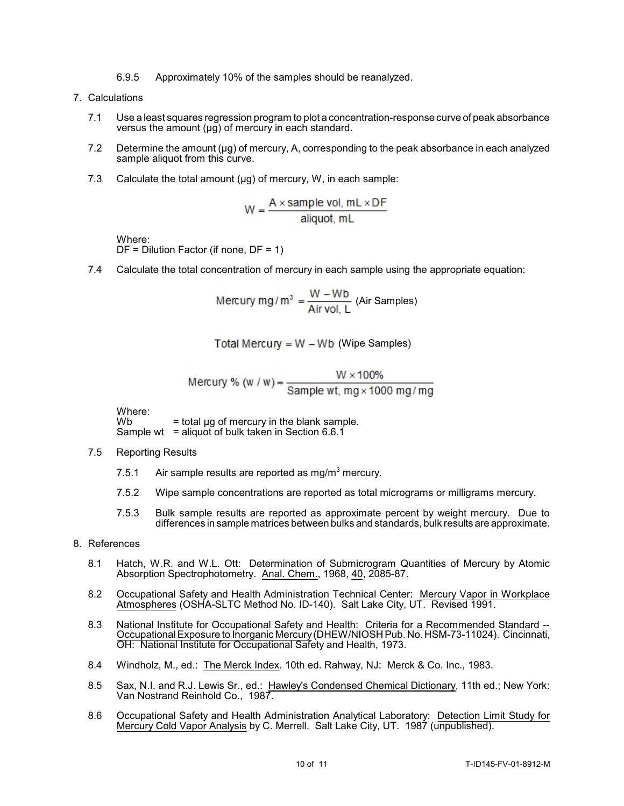- 6.9.5 Approximately 10% of the samples should be reanalyzed.
- 7. Calculations
	- 7.1 Use a least squares regression program to plot a concentration-response curve of peak absorbance versus the amount (µg) of mercury in each standard.
	- 7.2 Determine the amount (µg) of mercury, A, corresponding to the peak absorbance in each analyzed sample aliquot from this curve.
	- 7.3 Calculate the total amount  $(\mu g)$  of mercury, W, in each sample:

$$
W = \frac{A \times sample \text{ vol, mL} \times DF}{aligned}
$$

Where:

 $DF = Dilution Factor (if none, DF = 1)$ 

7.4 Calculate the total concentration of mercury in each sample using the appropriate equation:

$$
Mercury mg/m^3 = \frac{W - Wb}{Air vol, L}
$$
 (Air Samples)

Total Mercury = 
$$
W - Wb
$$
 (Wipe Samples)

$$
Mercury % (w/w) = \frac{W \times 100\%}{Sample wt, mg \times 1000 mg/mg}
$$

Where:<br>Wb  $=$  total ug of mercury in the blank sample. Sample wt = aliquot of bulk taken in Section  $6.6.1$ 

- 7.5 Reporting Results
	- 7.5.1 Air sample results are reported as mg/m<sup>3</sup> mercury.
	- 7.5.2 Wipe sample concentrations are reported as total micrograms or milligrams mercury.
	- 7.5.3 Bulk sample results are reported as approximate percent by weight mercury. Due to differences in sample matrices between bulks and standards, bulk results are approximate.
- 8. References
	- 8.1 Hatch, W.R. and W.L. Ott: Determination of Submicrogram Quantities of Mercury by Atomic Absorption Spectrophotometry. Anal. Chem., 1968, 40, 2085-87.
	- 8.2 Occupational Safety and Health Administration Technical Center: Mercury Vapor in Workplace Atmospheres (OSHA-SLTC Method No. ID-140). Salt Lake City, UT. Revised 1991.
	- $\frac{1}{2}$ 8.3 National Institute for Occupational Safety and Health: Criteria for a Recommended Standard --Occupational Exposure to Inorganic Mercury (DHEW/NIOSH Pub. No. HSM-73-11024). Cincinnati, OH: National Institute for Occupational Safety and Health, 1973.
	- 8.4 Windholz, M., ed.: The Merck Index. 10th ed. Rahway, NJ: Merck & Co. Inc., 1983.
	- 8.5 Sax, N.I. and R.J. Lewis Sr., ed.: Hawley's Condensed Chemical Dictionary, 11th ed.; New York: Van Nostrand Reinhold Co., 1987.
	- 8.6 Occupational Safety and Health Administration Analytical Laboratory: Detection Limit Study for Mercury Cold Vapor Analysis by C. Merrell. Salt Lake City, UT. 1987 (unpublished).